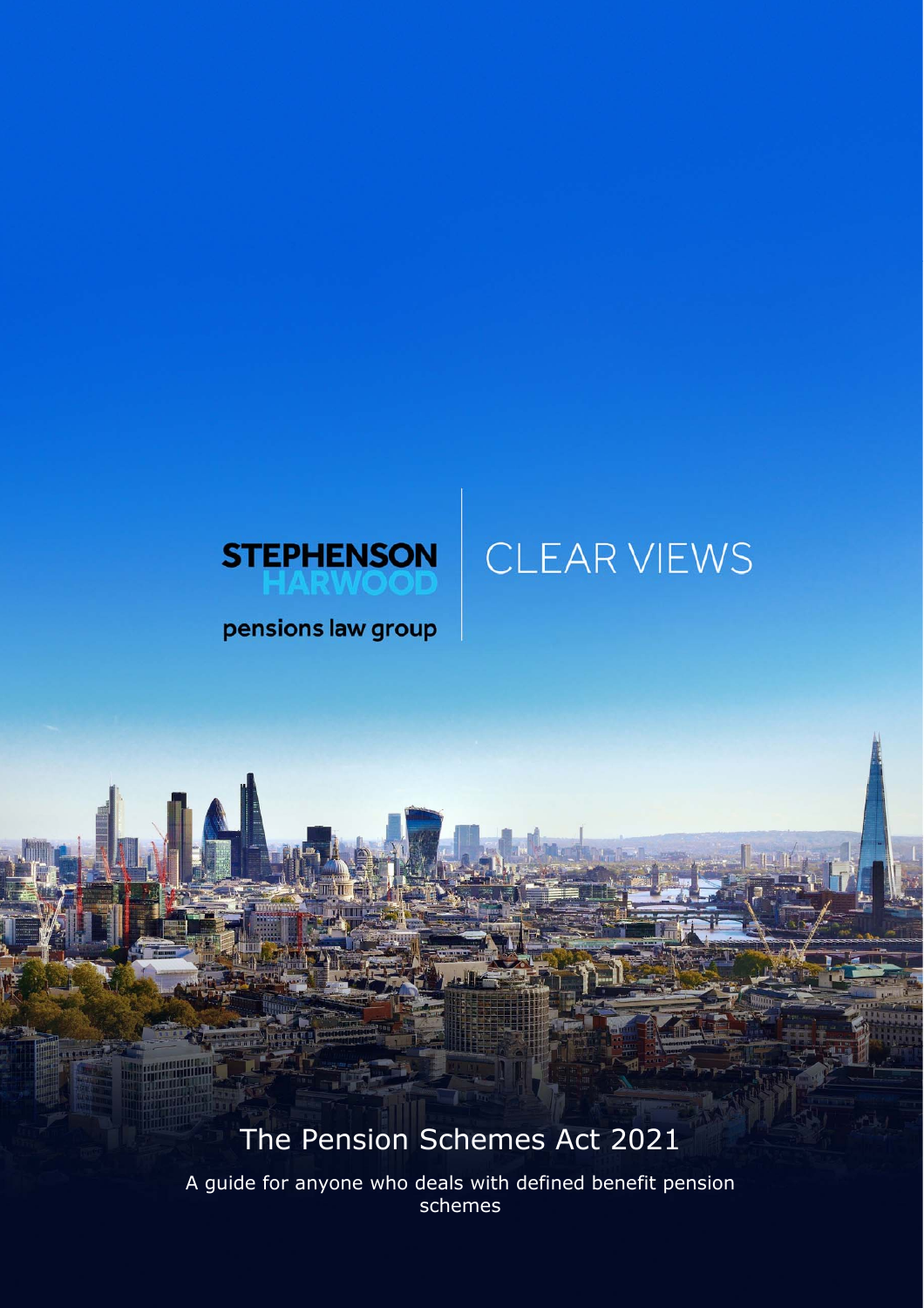# CLEAR VIEWS



pensions law group

## The Pension Schemes Act 2021

A guide for anyone who deals with defined benefit pension schemes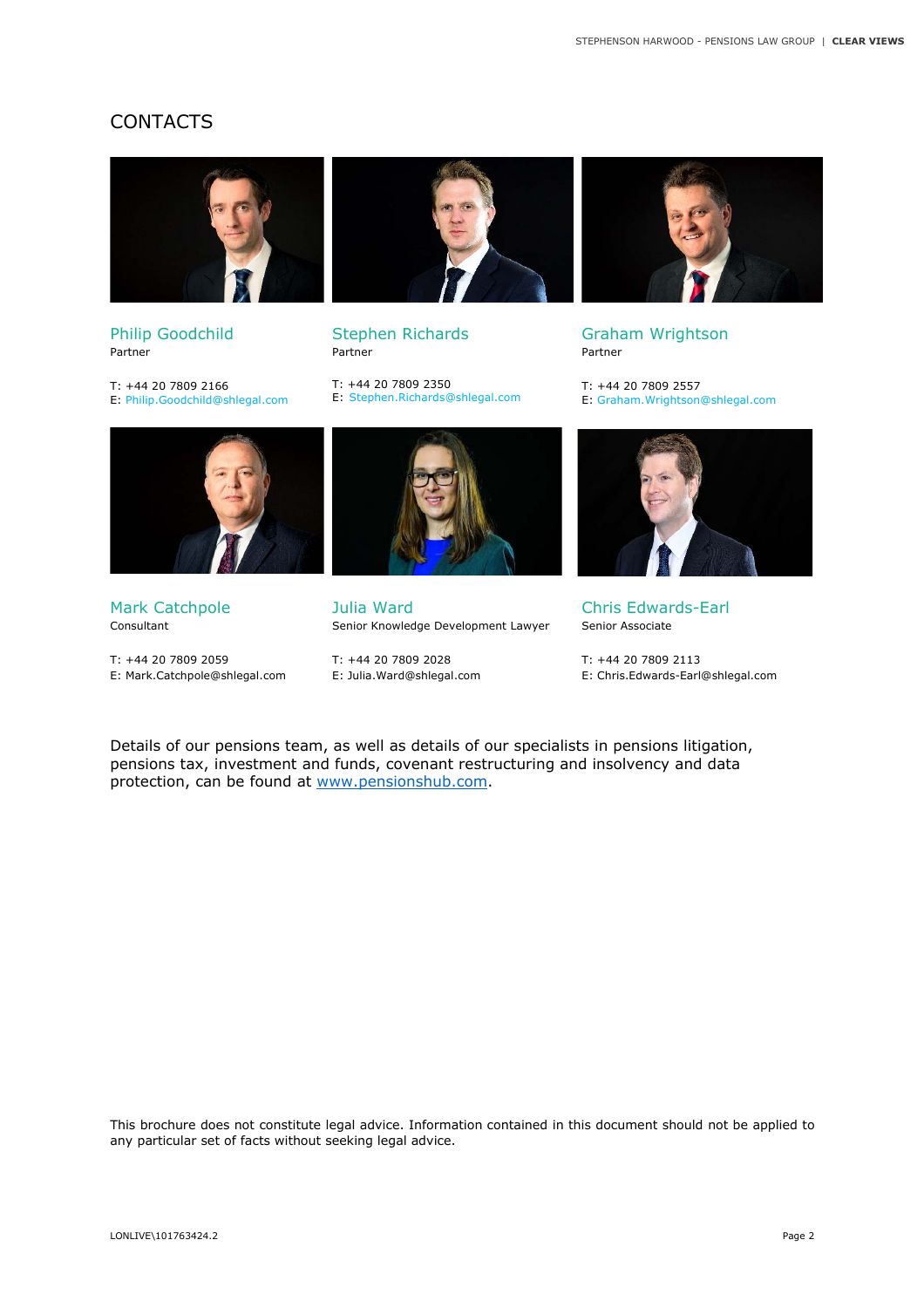#### CONTACTS



Philip Goodchild Partner

T: +44 20 7809 2166 E: Philip.Goodchild@shlegal.com



Stephen Richards Partner

T: +44 20 7809 2350 E: Stephen.Richards@shlegal.com



Graham Wrightson Partner

T: +44 20 7809 2557 E: Graham.Wrightson@shlegal.com



Mark Catchpole Consultant

T: +44 20 7809 2059 E: Mark.Catchpole@shlegal.com



Julia Ward Senior Knowledge Development Lawyer

T: +44 20 7809 2028 E: Julia.Ward@shlegal.com



Chris Edwards-Earl Senior Associate

T: +44 20 7809 2113 E: Chris.Edwards-Earl@shlegal.com

Details of our pensions team, as well as details of our specialists in pensions litigation, pensions tax, investment and funds, covenant restructuring and insolvency and data protection, can be found at www.pensionshub.com.

This brochure does not constitute legal advice. Information contained in this document should not be applied to any particular set of facts without seeking legal advice.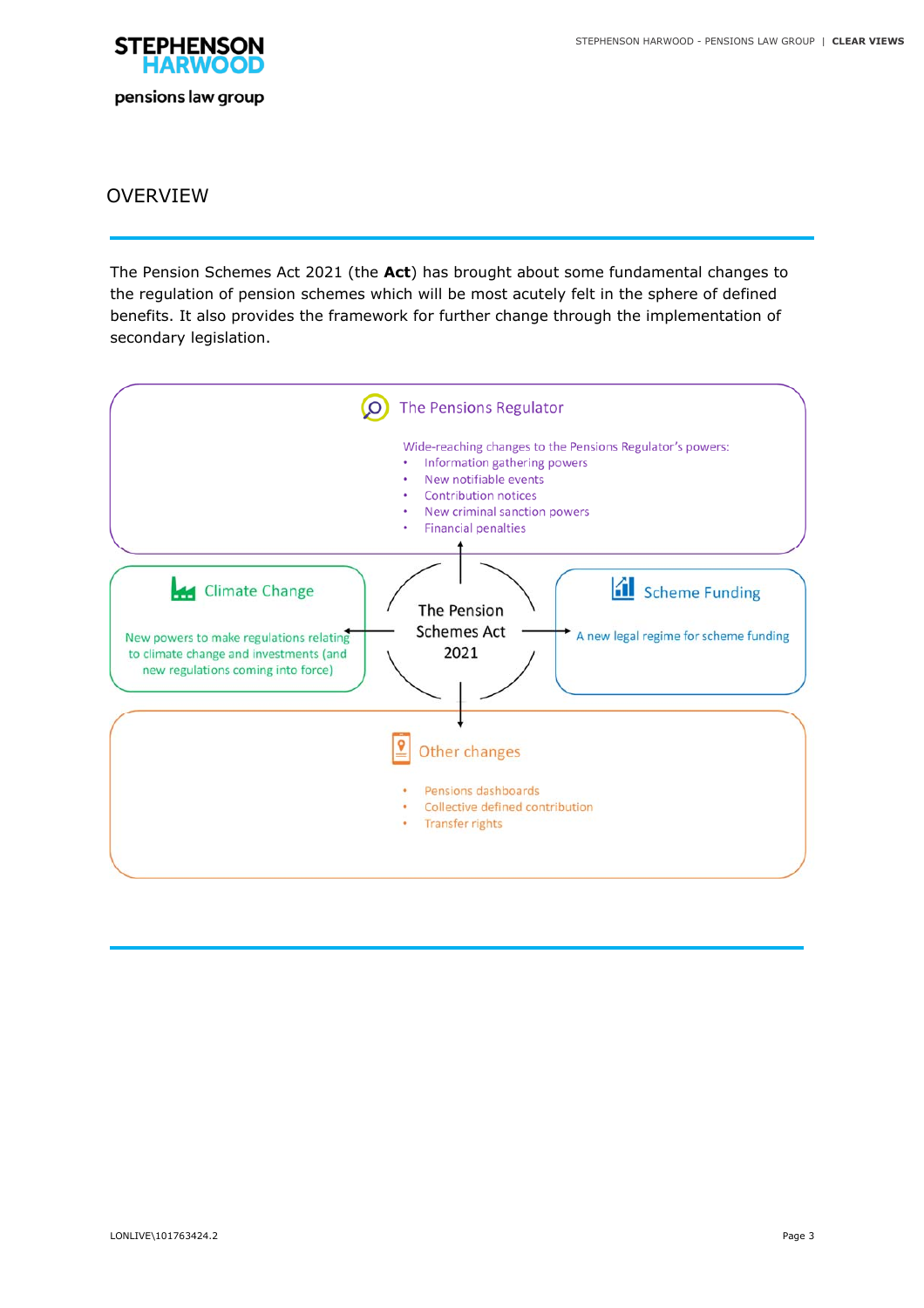

#### OVERVIEW

The Pension Schemes Act 2021 (the **Act**) has brought about some fundamental changes to the regulation of pension schemes which will be most acutely felt in the sphere of defined benefits. It also provides the framework for further change through the implementation of secondary legislation.

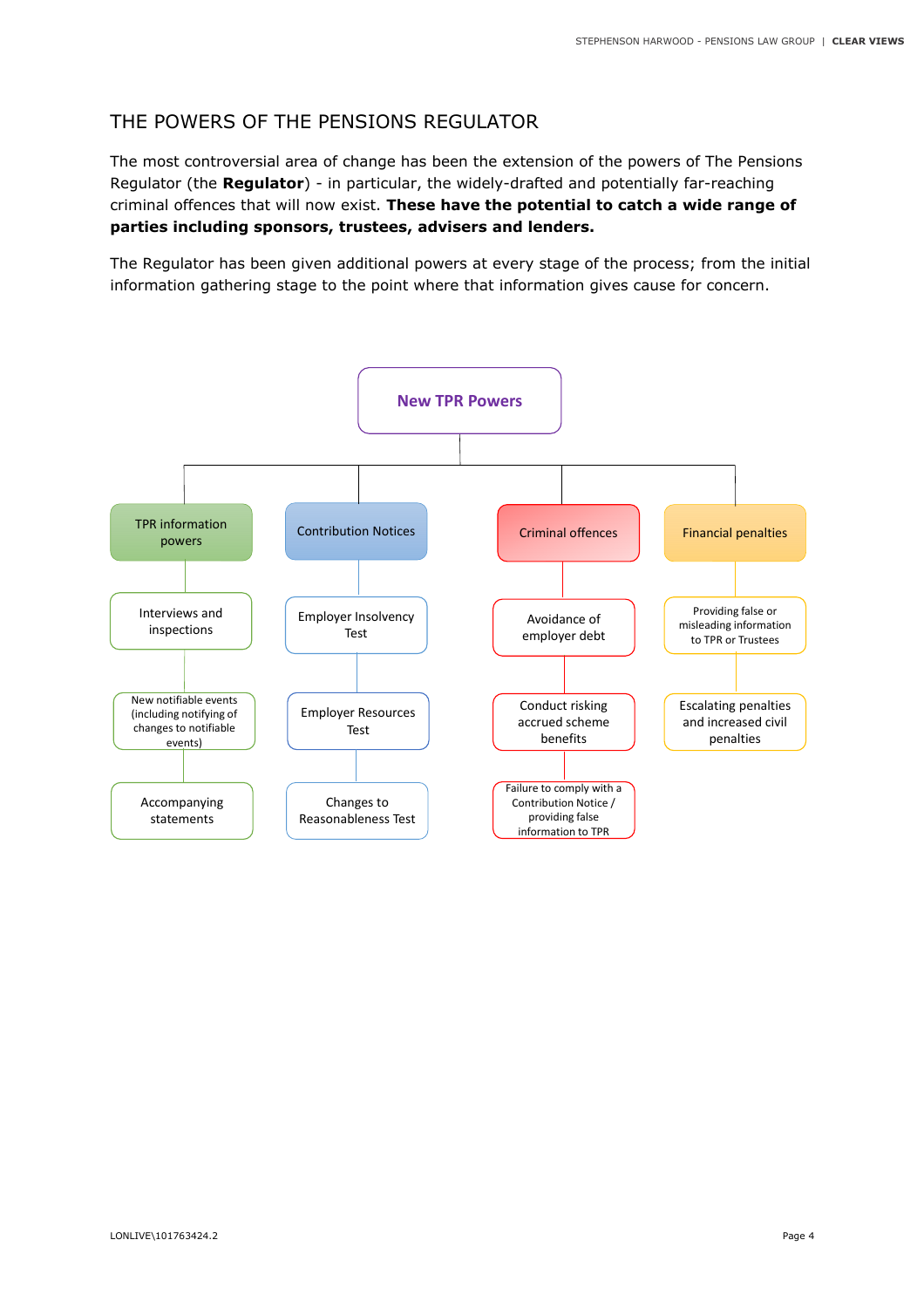### THE POWERS OF THE PENSIONS REGULATOR

The most controversial area of change has been the extension of the powers of The Pensions Regulator (the **Regulator**) - in particular, the widely-drafted and potentially far-reaching criminal offences that will now exist. **These have the potential to catch a wide range of parties including sponsors, trustees, advisers and lenders.**

The Regulator has been given additional powers at every stage of the process; from the initial information gathering stage to the point where that information gives cause for concern.

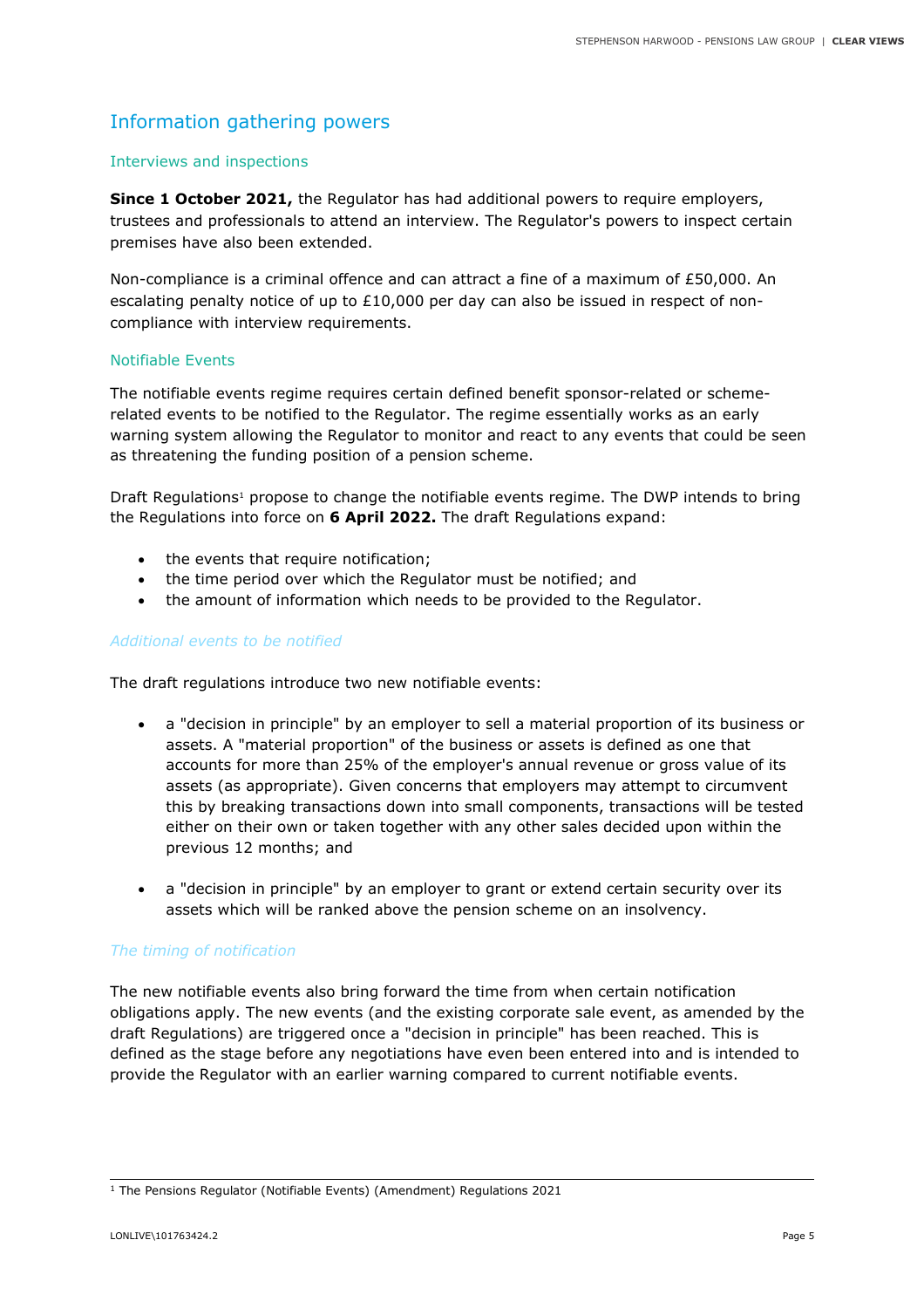## Information gathering powers

#### Interviews and inspections

**Since 1 October 2021,** the Regulator has had additional powers to require employers, trustees and professionals to attend an interview. The Regulator's powers to inspect certain premises have also been extended.

Non-compliance is a criminal offence and can attract a fine of a maximum of £50,000. An escalating penalty notice of up to  $£10,000$  per day can also be issued in respect of noncompliance with interview requirements.

#### Notifiable Events

The notifiable events regime requires certain defined benefit sponsor-related or schemerelated events to be notified to the Regulator. The regime essentially works as an early warning system allowing the Regulator to monitor and react to any events that could be seen as threatening the funding position of a pension scheme.

Draft Regulations<sup>1</sup> propose to change the notifiable events regime. The DWP intends to bring the Regulations into force on **6 April 2022.** The draft Regulations expand:

- the events that require notification;
- the time period over which the Regulator must be notified; and
- the amount of information which needs to be provided to the Regulator.

#### *Additional events to be notified*

The draft regulations introduce two new notifiable events:

- a "decision in principle" by an employer to sell a material proportion of its business or assets. A "material proportion" of the business or assets is defined as one that accounts for more than 25% of the employer's annual revenue or gross value of its assets (as appropriate). Given concerns that employers may attempt to circumvent this by breaking transactions down into small components, transactions will be tested either on their own or taken together with any other sales decided upon within the previous 12 months; and
- a "decision in principle" by an employer to grant or extend certain security over its assets which will be ranked above the pension scheme on an insolvency.

#### *The timing of notification*

The new notifiable events also bring forward the time from when certain notification obligations apply. The new events (and the existing corporate sale event, as amended by the draft Regulations) are triggered once a "decision in principle" has been reached. This is defined as the stage before any negotiations have even been entered into and is intended to provide the Regulator with an earlier warning compared to current notifiable events.

<sup>1</sup> The Pensions Regulator (Notifiable Events) (Amendment) Regulations 2021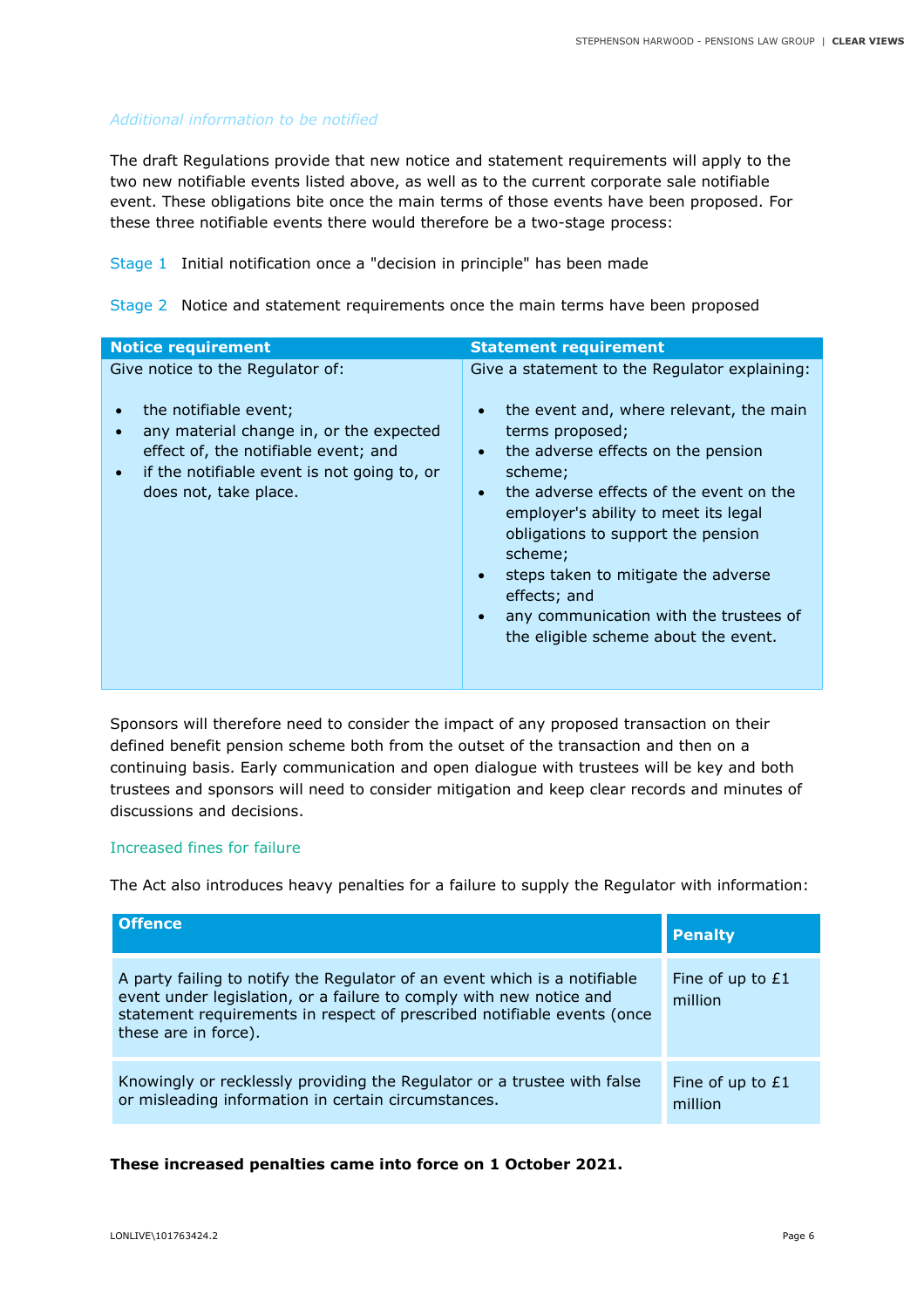#### *Additional information to be notified*

The draft Regulations provide that new notice and statement requirements will apply to the two new notifiable events listed above, as well as to the current corporate sale notifiable event. These obligations bite once the main terms of those events have been proposed. For these three notifiable events there would therefore be a two-stage process:

Stage 1 Initial notification once a "decision in principle" has been made

Stage 2 Notice and statement requirements once the main terms have been proposed

| <b>Notice requirement</b>                                                                                                                                                                                                                      | <b>Statement requirement</b>                                                                                                                                                                                                                                                                                                                                                                                                                                        |
|------------------------------------------------------------------------------------------------------------------------------------------------------------------------------------------------------------------------------------------------|---------------------------------------------------------------------------------------------------------------------------------------------------------------------------------------------------------------------------------------------------------------------------------------------------------------------------------------------------------------------------------------------------------------------------------------------------------------------|
| Give notice to the Regulator of:<br>the notifiable event;<br>$\bullet$<br>any material change in, or the expected<br>effect of, the notifiable event; and<br>if the notifiable event is not going to, or<br>$\bullet$<br>does not, take place. | Give a statement to the Regulator explaining:<br>the event and, where relevant, the main<br>terms proposed;<br>the adverse effects on the pension<br>$\bullet$<br>scheme;<br>the adverse effects of the event on the<br>$\bullet$<br>employer's ability to meet its legal<br>obligations to support the pension<br>scheme;<br>steps taken to mitigate the adverse<br>effects; and<br>any communication with the trustees of<br>the eligible scheme about the event. |

Sponsors will therefore need to consider the impact of any proposed transaction on their defined benefit pension scheme both from the outset of the transaction and then on a continuing basis. Early communication and open dialogue with trustees will be key and both trustees and sponsors will need to consider mitigation and keep clear records and minutes of discussions and decisions.

#### Increased fines for failure

The Act also introduces heavy penalties for a failure to supply the Regulator with information:

| <b>Offence</b>                                                                                                                                                                                                                                      | <b>Penalty</b>                |
|-----------------------------------------------------------------------------------------------------------------------------------------------------------------------------------------------------------------------------------------------------|-------------------------------|
| A party failing to notify the Regulator of an event which is a notifiable<br>event under legislation, or a failure to comply with new notice and<br>statement requirements in respect of prescribed notifiable events (once<br>these are in force). | Fine of up to $E1$<br>million |
| Knowingly or recklessly providing the Regulator or a trustee with false<br>or misleading information in certain circumstances.                                                                                                                      | Fine of up to £1<br>million   |

#### **These increased penalties came into force on 1 October 2021.**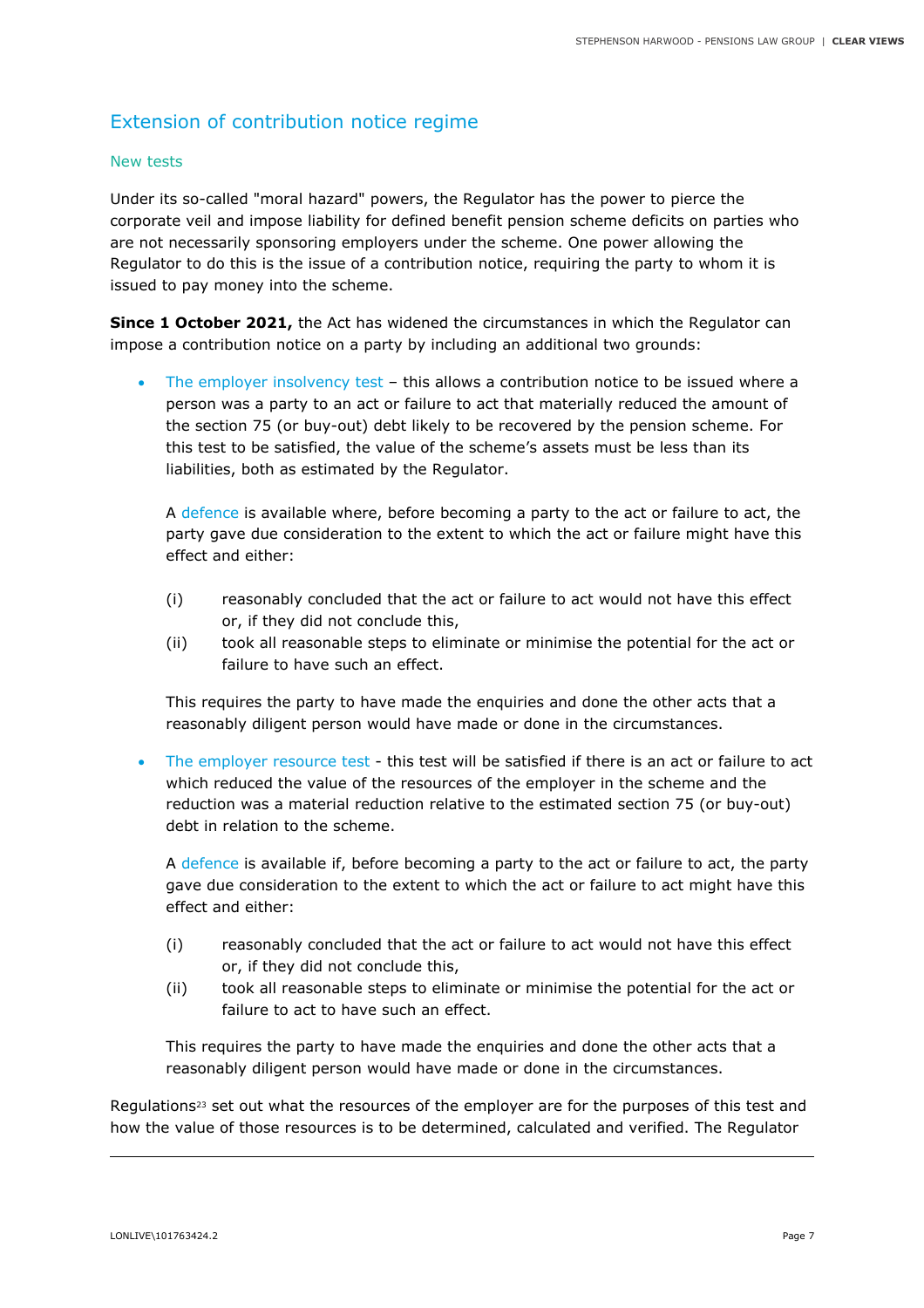## Extension of contribution notice regime

#### New tests

Under its so-called "moral hazard" powers, the Regulator has the power to pierce the corporate veil and impose liability for defined benefit pension scheme deficits on parties who are not necessarily sponsoring employers under the scheme. One power allowing the Regulator to do this is the issue of a contribution notice, requiring the party to whom it is issued to pay money into the scheme.

**Since 1 October 2021,** the Act has widened the circumstances in which the Regulator can impose a contribution notice on a party by including an additional two grounds:

The employer insolvency test - this allows a contribution notice to be issued where a person was a party to an act or failure to act that materially reduced the amount of the section 75 (or buy-out) debt likely to be recovered by the pension scheme. For this test to be satisfied, the value of the scheme's assets must be less than its liabilities, both as estimated by the Regulator.

A defence is available where, before becoming a party to the act or failure to act, the party gave due consideration to the extent to which the act or failure might have this effect and either:

- (i) reasonably concluded that the act or failure to act would not have this effect or, if they did not conclude this,
- (ii) took all reasonable steps to eliminate or minimise the potential for the act or failure to have such an effect.

This requires the party to have made the enquiries and done the other acts that a reasonably diligent person would have made or done in the circumstances.

The employer resource test - this test will be satisfied if there is an act or failure to act which reduced the value of the resources of the employer in the scheme and the reduction was a material reduction relative to the estimated section 75 (or buy-out) debt in relation to the scheme.

A defence is available if, before becoming a party to the act or failure to act, the party gave due consideration to the extent to which the act or failure to act might have this effect and either:

- (i) reasonably concluded that the act or failure to act would not have this effect or, if they did not conclude this,
- (ii) took all reasonable steps to eliminate or minimise the potential for the act or failure to act to have such an effect.

This requires the party to have made the enquiries and done the other acts that a reasonably diligent person would have made or done in the circumstances.

Regulations<sup>23</sup> set out what the resources of the employer are for the purposes of this test and how the value of those resources is to be determined, calculated and verified. The Regulator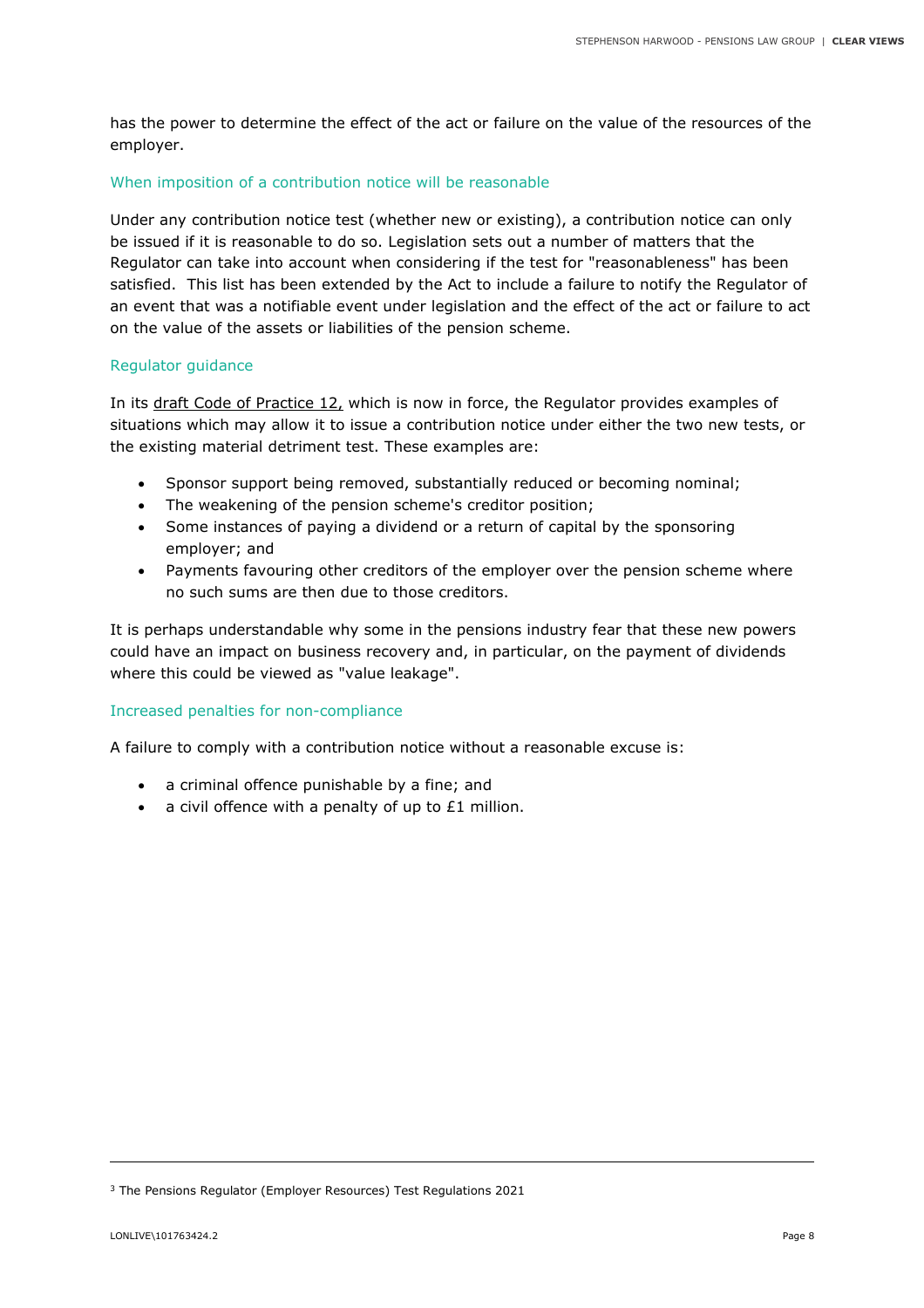has the power to determine the effect of the act or failure on the value of the resources of the employer.

#### When imposition of a contribution notice will be reasonable

Under any contribution notice test (whether new or existing), a contribution notice can only be issued if it is reasonable to do so. Legislation sets out a number of matters that the Regulator can take into account when considering if the test for "reasonableness" has been satisfied. This list has been extended by the Act to include a failure to notify the Regulator of an event that was a notifiable event under legislation and the effect of the act or failure to act on the value of the assets or liabilities of the pension scheme.

#### Regulator guidance

In its draft Code of Practice 12, which is now in force, the Regulator provides examples of situations which may allow it to issue a contribution notice under either the two new tests, or the existing material detriment test. These examples are:

- Sponsor support being removed, substantially reduced or becoming nominal;
- The weakening of the pension scheme's creditor position;
- Some instances of paying a dividend or a return of capital by the sponsoring employer; and
- Payments favouring other creditors of the employer over the pension scheme where no such sums are then due to those creditors.

It is perhaps understandable why some in the pensions industry fear that these new powers could have an impact on business recovery and, in particular, on the payment of dividends where this could be viewed as "value leakage".

#### Increased penalties for non-compliance

A failure to comply with a contribution notice without a reasonable excuse is:

- a criminal offence punishable by a fine; and
- a civil offence with a penalty of up to £1 million.

<sup>3</sup> The Pensions Regulator (Employer Resources) Test Regulations 2021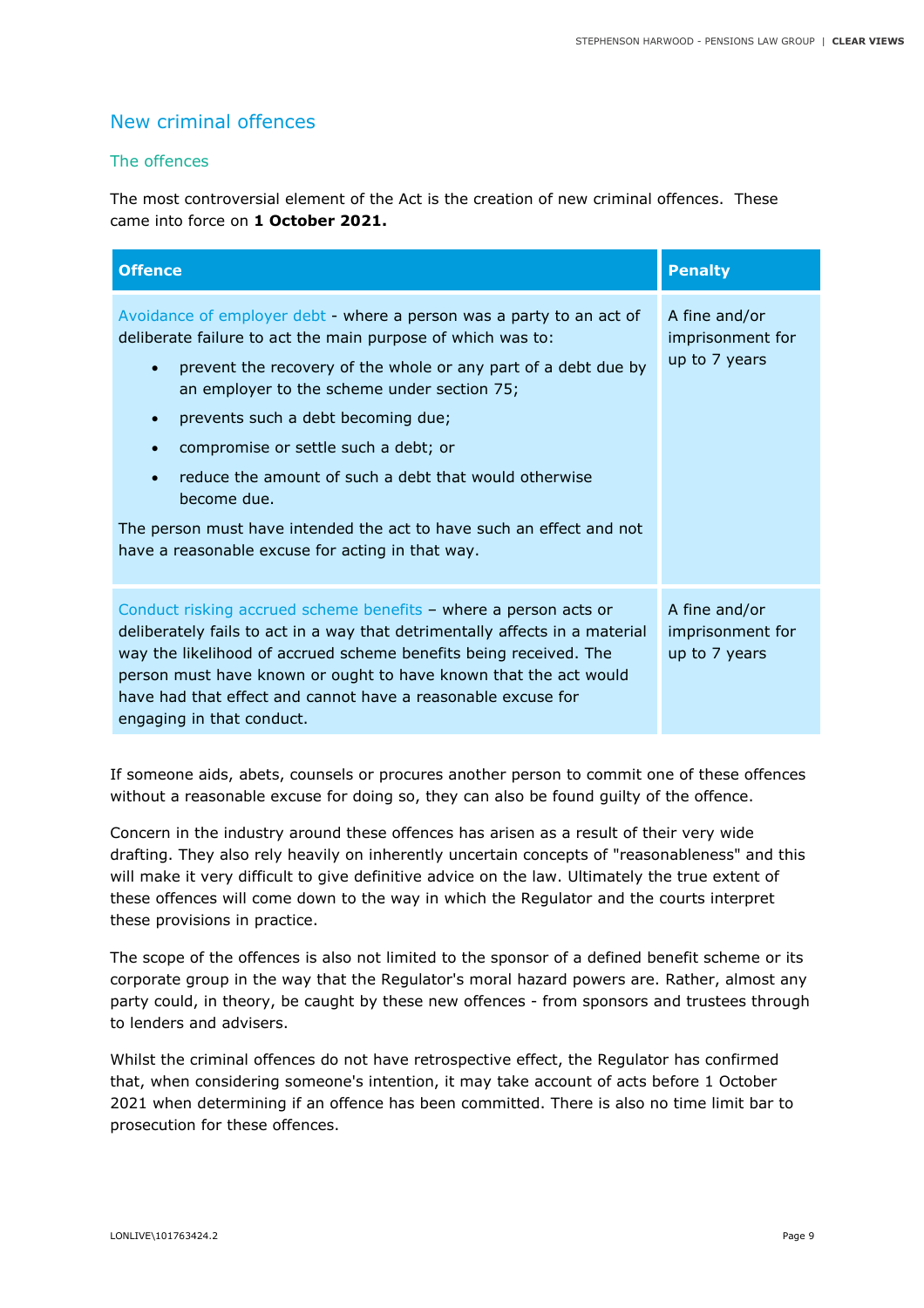## New criminal offences

#### The offences

The most controversial element of the Act is the creation of new criminal offences. These came into force on **1 October 2021.**

| <b>Offence</b>                                                                                                                                                                                                                                                                                                                                                                                                                                                                                                                                                                | <b>Penalty</b>                                     |
|-------------------------------------------------------------------------------------------------------------------------------------------------------------------------------------------------------------------------------------------------------------------------------------------------------------------------------------------------------------------------------------------------------------------------------------------------------------------------------------------------------------------------------------------------------------------------------|----------------------------------------------------|
| Avoidance of employer debt - where a person was a party to an act of<br>deliberate failure to act the main purpose of which was to:<br>prevent the recovery of the whole or any part of a debt due by<br>$\bullet$<br>an employer to the scheme under section 75;<br>prevents such a debt becoming due;<br>$\bullet$<br>compromise or settle such a debt; or<br>reduce the amount of such a debt that would otherwise<br>$\bullet$<br>become due.<br>The person must have intended the act to have such an effect and not<br>have a reasonable excuse for acting in that way. | A fine and/or<br>imprisonment for<br>up to 7 years |
| Conduct risking accrued scheme benefits - where a person acts or<br>deliberately fails to act in a way that detrimentally affects in a material<br>way the likelihood of accrued scheme benefits being received. The<br>person must have known or ought to have known that the act would<br>have had that effect and cannot have a reasonable excuse for<br>engaging in that conduct.                                                                                                                                                                                         | A fine and/or<br>imprisonment for<br>up to 7 years |

If someone aids, abets, counsels or procures another person to commit one of these offences without a reasonable excuse for doing so, they can also be found guilty of the offence.

Concern in the industry around these offences has arisen as a result of their very wide drafting. They also rely heavily on inherently uncertain concepts of "reasonableness" and this will make it very difficult to give definitive advice on the law. Ultimately the true extent of these offences will come down to the way in which the Regulator and the courts interpret these provisions in practice.

The scope of the offences is also not limited to the sponsor of a defined benefit scheme or its corporate group in the way that the Regulator's moral hazard powers are. Rather, almost any party could, in theory, be caught by these new offences - from sponsors and trustees through to lenders and advisers.

Whilst the criminal offences do not have retrospective effect, the Regulator has confirmed that, when considering someone's intention, it may take account of acts before 1 October 2021 when determining if an offence has been committed. There is also no time limit bar to prosecution for these offences.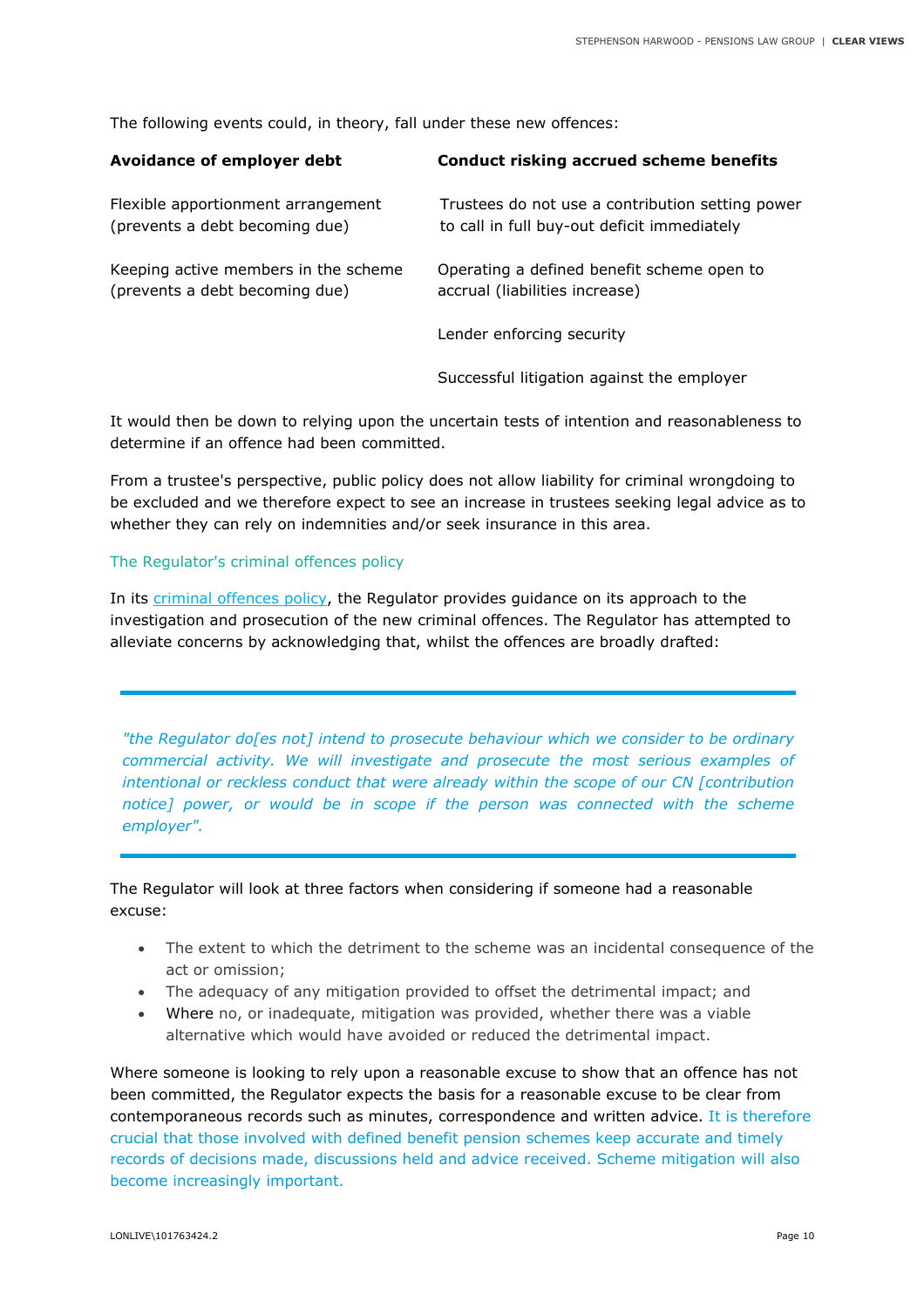The following events could, in theory, fall under these new offences:

| <b>Avoidance of employer debt</b>                                      | <b>Conduct risking accrued scheme benefits</b>                                                  |
|------------------------------------------------------------------------|-------------------------------------------------------------------------------------------------|
| Flexible apportionment arrangement<br>(prevents a debt becoming due)   | Trustees do not use a contribution setting power<br>to call in full buy-out deficit immediately |
| Keeping active members in the scheme<br>(prevents a debt becoming due) | Operating a defined benefit scheme open to<br>accrual (liabilities increase)                    |
|                                                                        | Lender enforcing security                                                                       |
|                                                                        | Successful litigation against the employer                                                      |

It would then be down to relying upon the uncertain tests of intention and reasonableness to determine if an offence had been committed.

From a trustee's perspective, public policy does not allow liability for criminal wrongdoing to be excluded and we therefore expect to see an increase in trustees seeking legal advice as to whether they can rely on indemnities and/or seek insurance in this area.

#### The Regulator's criminal offences policy

In its criminal offences policy, the Regulator provides guidance on its approach to the investigation and prosecution of the new criminal offences. The Regulator has attempted to alleviate concerns by acknowledging that, whilst the offences are broadly drafted:

*"the Regulator do[es not] intend to prosecute behaviour which we consider to be ordinary commercial activity. We will investigate and prosecute the most serious examples of intentional or reckless conduct that were already within the scope of our CN [contribution notice] power, or would be in scope if the person was connected with the scheme employer".* 

The Regulator will look at three factors when considering if someone had a reasonable excuse:

- The extent to which the detriment to the scheme was an incidental consequence of the act or omission;
- The adequacy of any mitigation provided to offset the detrimental impact; and
- Where no, or inadequate, mitigation was provided, whether there was a viable alternative which would have avoided or reduced the detrimental impact.

Where someone is looking to rely upon a reasonable excuse to show that an offence has not been committed, the Regulator expects the basis for a reasonable excuse to be clear from contemporaneous records such as minutes, correspondence and written advice. It is therefore crucial that those involved with defined benefit pension schemes keep accurate and timely records of decisions made, discussions held and advice received. Scheme mitigation will also become increasingly important.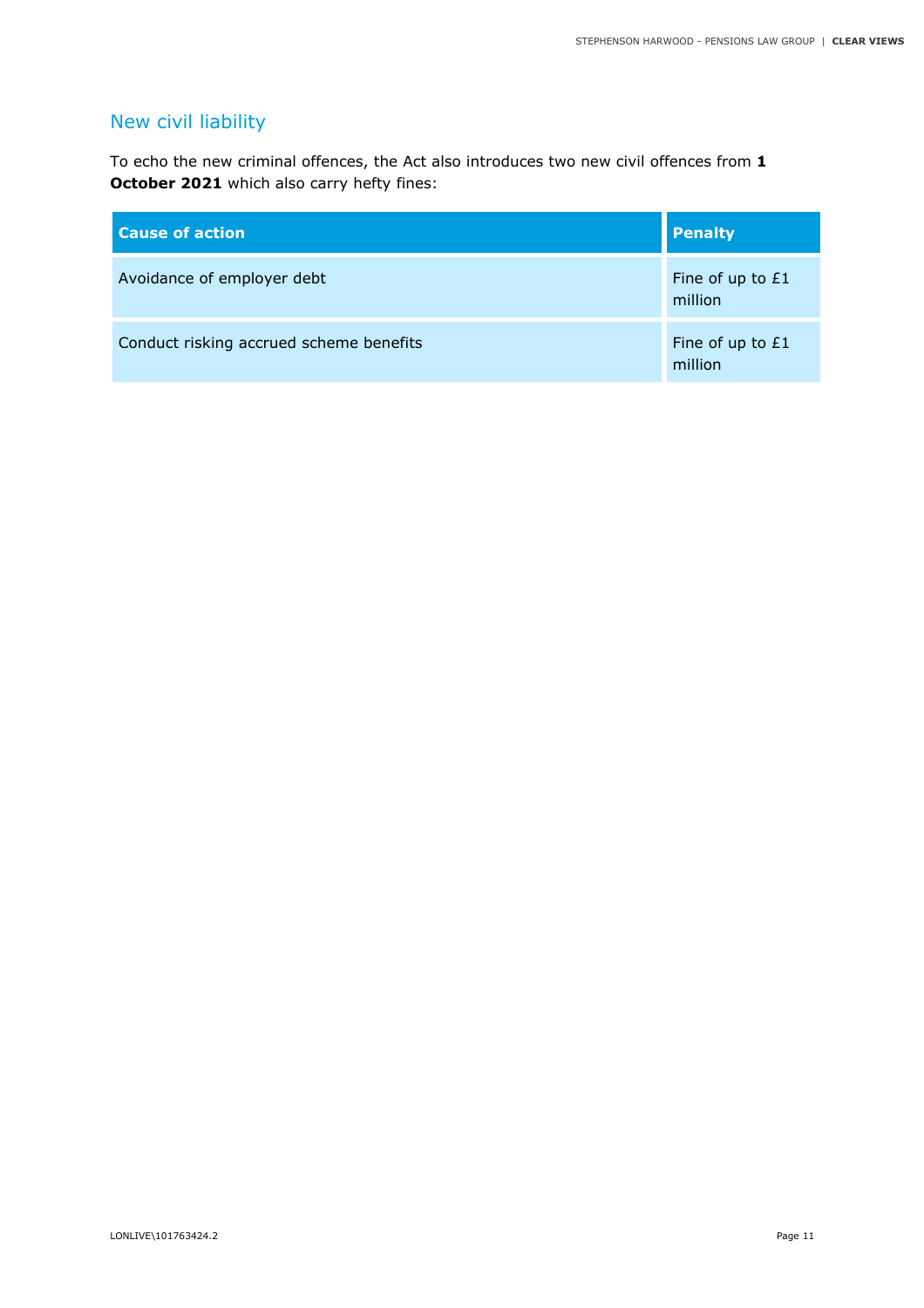## New civil liability

To echo the new criminal offences, the Act also introduces two new civil offences from **1 October 2021** which also carry hefty fines:

| <b>Cause of action</b>                  | <b>Penalty</b>              |
|-----------------------------------------|-----------------------------|
| Avoidance of employer debt              | Fine of up to £1<br>million |
| Conduct risking accrued scheme benefits | Fine of up to £1<br>million |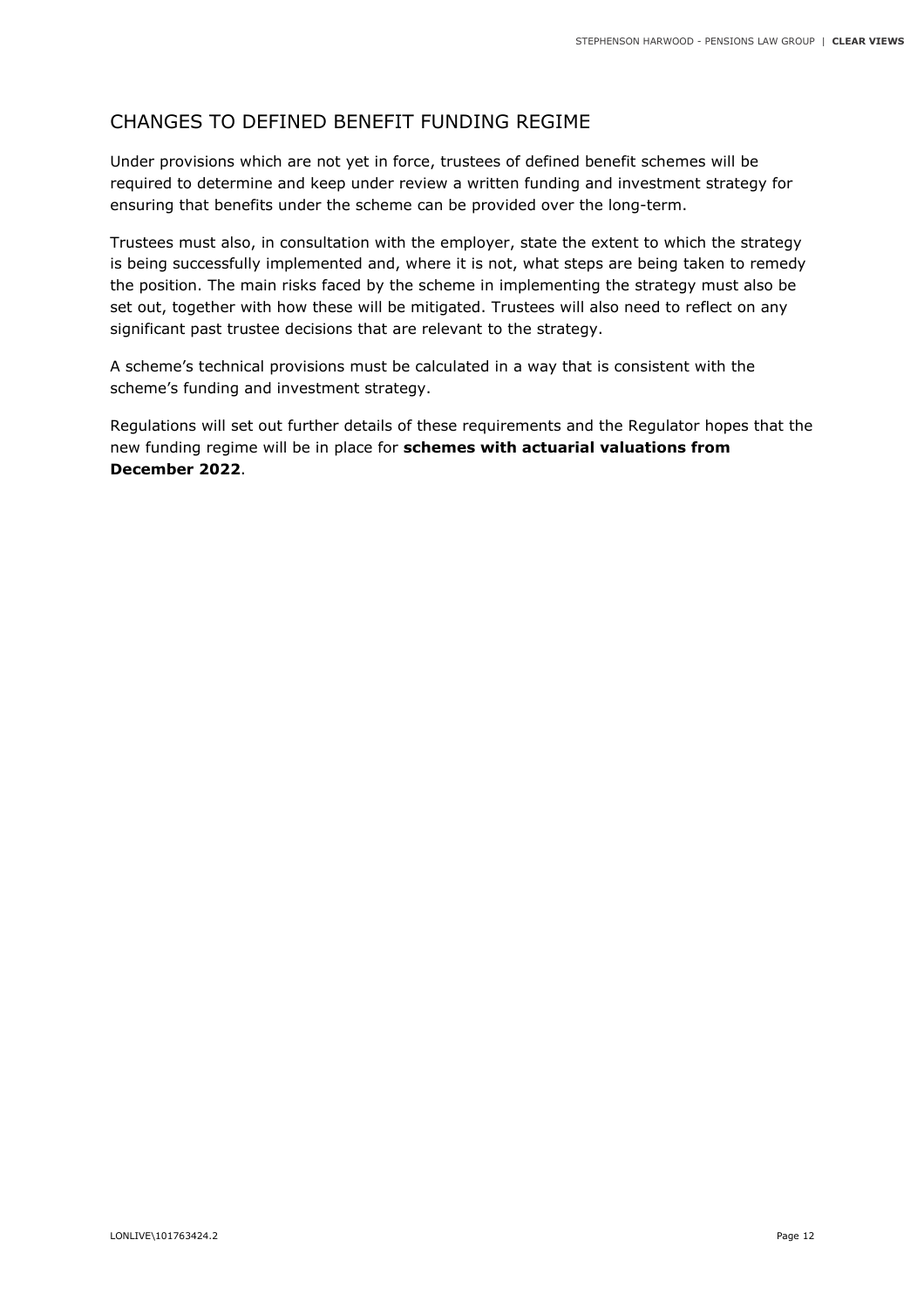## CHANGES TO DEFINED BENEFIT FUNDING REGIME

Under provisions which are not yet in force, trustees of defined benefit schemes will be required to determine and keep under review a written funding and investment strategy for ensuring that benefits under the scheme can be provided over the long-term.

Trustees must also, in consultation with the employer, state the extent to which the strategy is being successfully implemented and, where it is not, what steps are being taken to remedy the position. The main risks faced by the scheme in implementing the strategy must also be set out, together with how these will be mitigated. Trustees will also need to reflect on any significant past trustee decisions that are relevant to the strategy.

A scheme's technical provisions must be calculated in a way that is consistent with the scheme's funding and investment strategy.

Regulations will set out further details of these requirements and the Regulator hopes that the new funding regime will be in place for **schemes with actuarial valuations from December 2022**.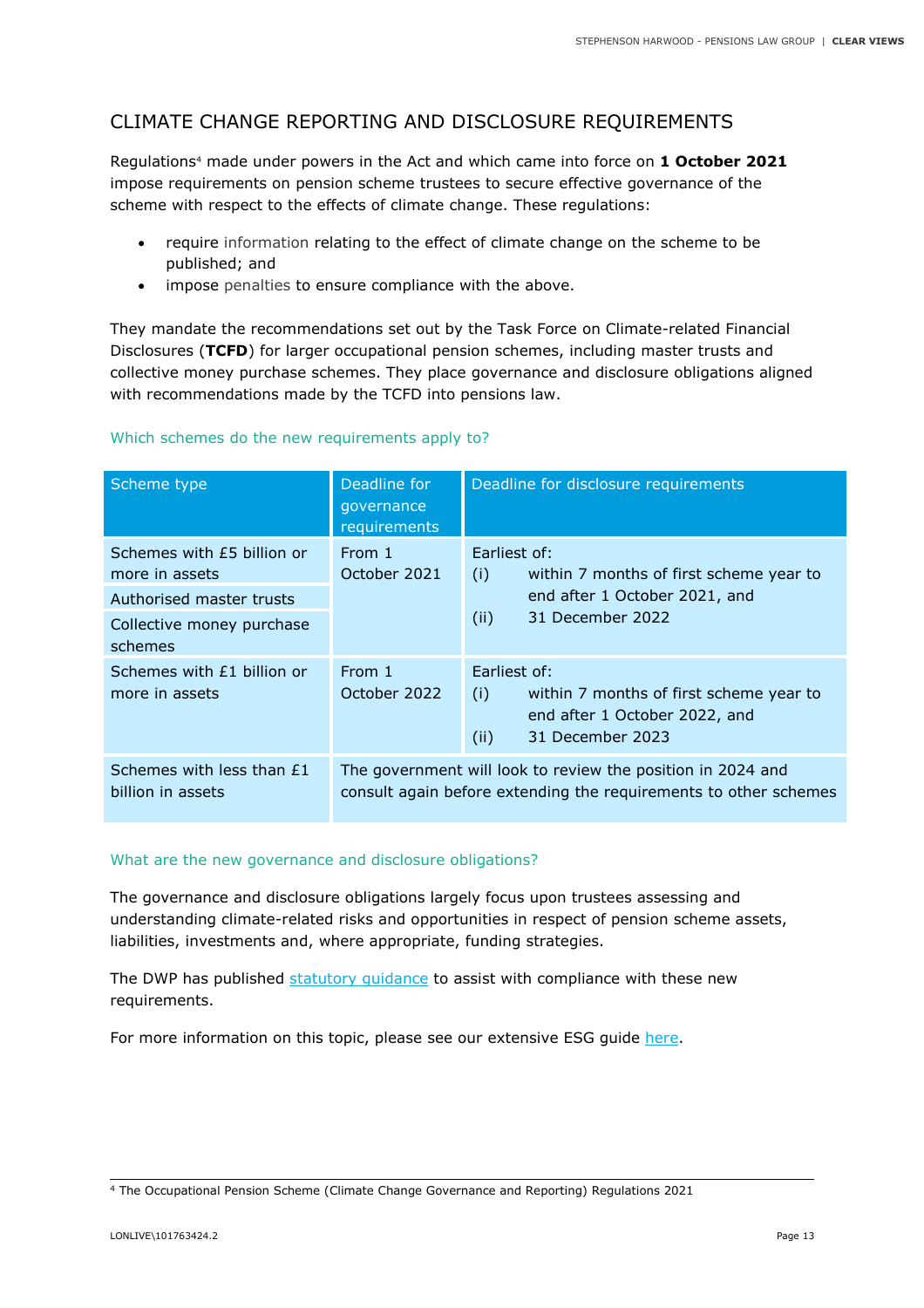## CLIMATE CHANGE REPORTING AND DISCLOSURE REQUIREMENTS

Regulations4 made under powers in the Act and which came into force on **1 October 2021** impose requirements on pension scheme trustees to secure effective governance of the scheme with respect to the effects of climate change. These regulations:

- require information relating to the effect of climate change on the scheme to be published; and
- impose penalties to ensure compliance with the above.

They mandate the recommendations set out by the Task Force on Climate-related Financial Disclosures (**TCFD**) for larger occupational pension schemes, including master trusts and collective money purchase schemes. They place governance and disclosure obligations aligned with recommendations made by the TCFD into pensions law.

| Scheme type                                                                                                      | Deadline for<br>qovernance<br>requirements                                                                                      | Deadline for disclosure requirements                                                                                        |
|------------------------------------------------------------------------------------------------------------------|---------------------------------------------------------------------------------------------------------------------------------|-----------------------------------------------------------------------------------------------------------------------------|
| Schemes with £5 billion or<br>more in assets<br>Authorised master trusts<br>Collective money purchase<br>schemes | From 1<br>October 2021                                                                                                          | Earliest of:<br>within 7 months of first scheme year to<br>(i)<br>end after 1 October 2021, and<br>31 December 2022<br>(ii) |
| Schemes with £1 billion or<br>more in assets                                                                     | From 1<br>October 2022                                                                                                          | Farliest of:<br>(i)<br>within 7 months of first scheme year to<br>end after 1 October 2022, and<br>31 December 2023<br>(ii) |
| Schemes with less than £1<br>billion in assets                                                                   | The government will look to review the position in 2024 and<br>consult again before extending the requirements to other schemes |                                                                                                                             |

#### Which schemes do the new requirements apply to?

#### What are the new governance and disclosure obligations?

The governance and disclosure obligations largely focus upon trustees assessing and understanding climate-related risks and opportunities in respect of pension scheme assets, liabilities, investments and, where appropriate, funding strategies.

The DWP has published statutory guidance to assist with compliance with these new requirements.

For more information on this topic, please see our extensive ESG guide here.

<sup>4</sup> The Occupational Pension Scheme (Climate Change Governance and Reporting) Regulations 2021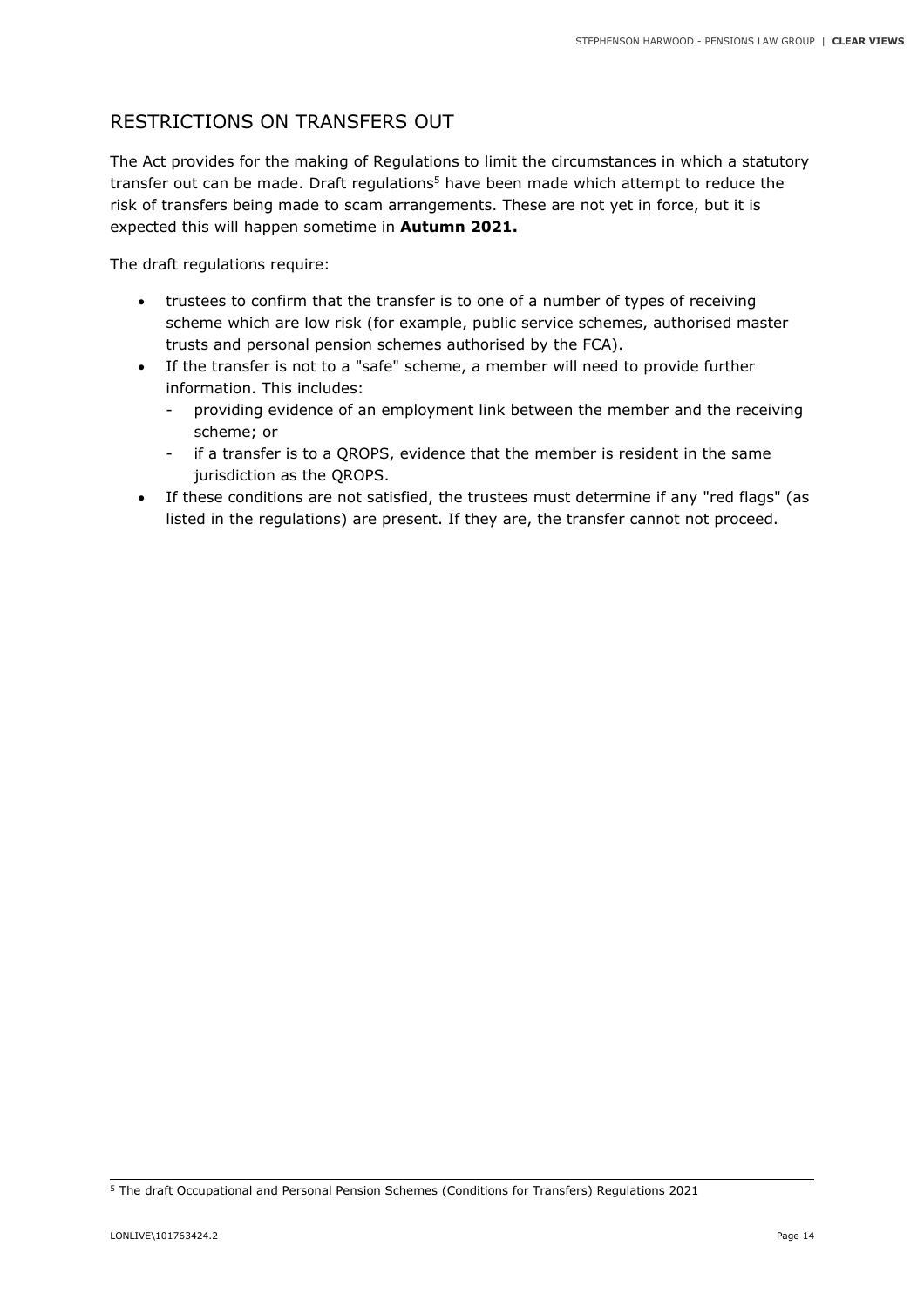## RESTRICTIONS ON TRANSFERS OUT

The Act provides for the making of Regulations to limit the circumstances in which a statutory transfer out can be made. Draft regulations<sup>5</sup> have been made which attempt to reduce the risk of transfers being made to scam arrangements. These are not yet in force, but it is expected this will happen sometime in **Autumn 2021.** 

The draft regulations require:

- trustees to confirm that the transfer is to one of a number of types of receiving scheme which are low risk (for example, public service schemes, authorised master trusts and personal pension schemes authorised by the FCA).
- If the transfer is not to a "safe" scheme, a member will need to provide further information. This includes:
	- providing evidence of an employment link between the member and the receiving scheme; or
	- if a transfer is to a OROPS, evidence that the member is resident in the same jurisdiction as the QROPS.
- If these conditions are not satisfied, the trustees must determine if any "red flags" (as listed in the regulations) are present. If they are, the transfer cannot not proceed.

<sup>5</sup> The draft Occupational and Personal Pension Schemes (Conditions for Transfers) Regulations 2021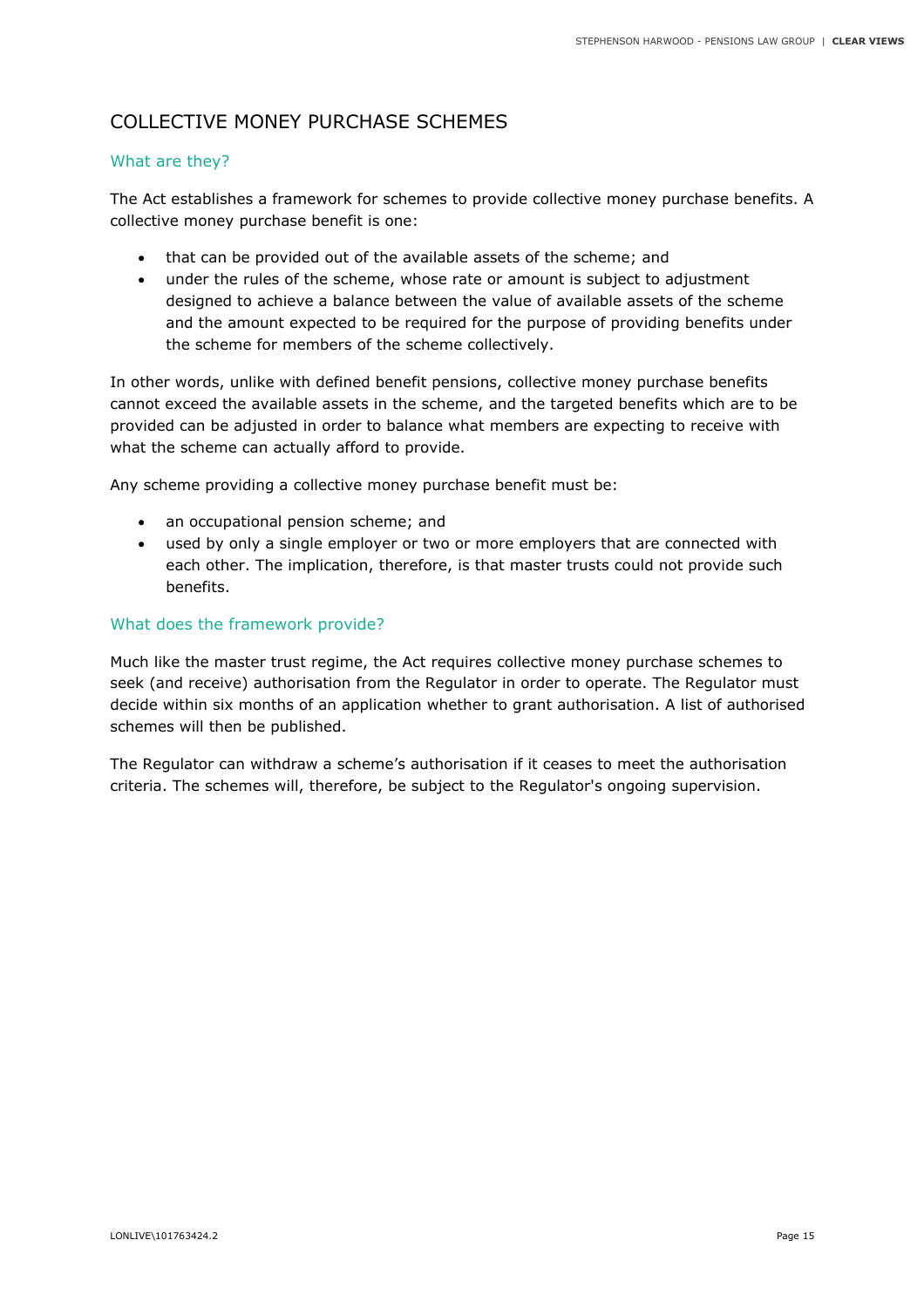## COLLECTIVE MONEY PURCHASE SCHEMES

#### What are they?

The Act establishes a framework for schemes to provide collective money purchase benefits. A collective money purchase benefit is one:

- that can be provided out of the available assets of the scheme; and
- under the rules of the scheme, whose rate or amount is subject to adjustment designed to achieve a balance between the value of available assets of the scheme and the amount expected to be required for the purpose of providing benefits under the scheme for members of the scheme collectively.

In other words, unlike with defined benefit pensions, collective money purchase benefits cannot exceed the available assets in the scheme, and the targeted benefits which are to be provided can be adjusted in order to balance what members are expecting to receive with what the scheme can actually afford to provide.

Any scheme providing a collective money purchase benefit must be:

- an occupational pension scheme; and
- used by only a single employer or two or more employers that are connected with each other. The implication, therefore, is that master trusts could not provide such benefits.

#### What does the framework provide?

Much like the master trust regime, the Act requires collective money purchase schemes to seek (and receive) authorisation from the Regulator in order to operate. The Regulator must decide within six months of an application whether to grant authorisation. A list of authorised schemes will then be published.

The Regulator can withdraw a scheme's authorisation if it ceases to meet the authorisation criteria. The schemes will, therefore, be subject to the Regulator's ongoing supervision.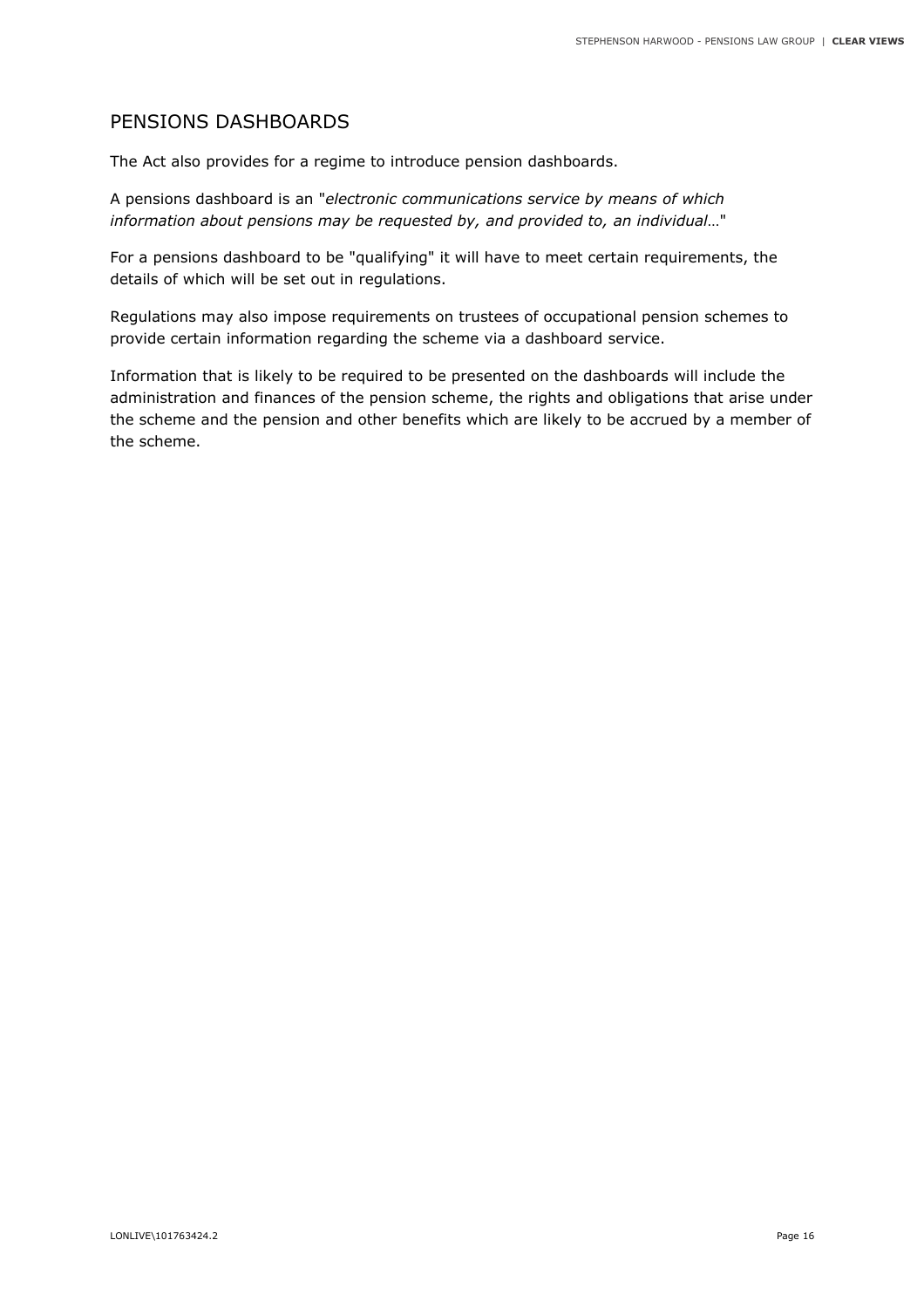#### PENSIONS DASHBOARDS

The Act also provides for a regime to introduce pension dashboards.

A pensions dashboard is an "*electronic communications service by means of which information about pensions may be requested by, and provided to, an individual*…"

For a pensions dashboard to be "qualifying" it will have to meet certain requirements, the details of which will be set out in regulations.

Regulations may also impose requirements on trustees of occupational pension schemes to provide certain information regarding the scheme via a dashboard service.

Information that is likely to be required to be presented on the dashboards will include the administration and finances of the pension scheme, the rights and obligations that arise under the scheme and the pension and other benefits which are likely to be accrued by a member of the scheme.